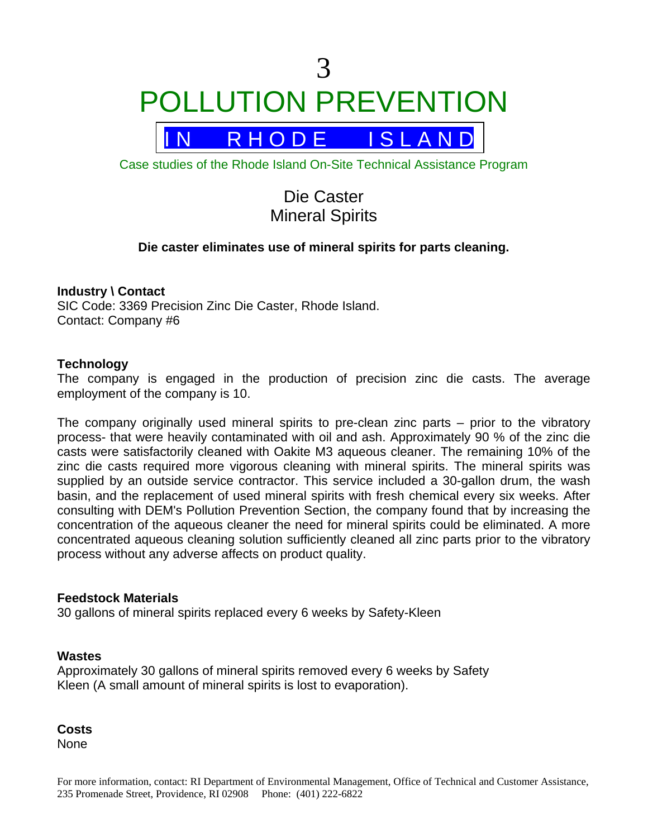# 3 POLLUTION PREVENTION

R H O D E I S L A N D

Case studies of the Rhode Island On-Site Technical Assistance Program

Die Caster Mineral Spirits

### **Die caster eliminates use of mineral spirits for parts cleaning.**

#### **Industry \ Contact**

SIC Code: 3369 Precision Zinc Die Caster, Rhode Island. Contact: Company #6

#### **Technology**

The company is engaged in the production of precision zinc die casts. The average employment of the company is 10.

The company originally used mineral spirits to pre-clean zinc parts – prior to the vibratory process- that were heavily contaminated with oil and ash. Approximately 90 % of the zinc die casts were satisfactorily cleaned with Oakite M3 aqueous cleaner. The remaining 10% of the zinc die casts required more vigorous cleaning with mineral spirits. The mineral spirits was supplied by an outside service contractor. This service included a 30-gallon drum, the wash basin, and the replacement of used mineral spirits with fresh chemical every six weeks. After consulting with DEM's Pollution Prevention Section, the company found that by increasing the concentration of the aqueous cleaner the need for mineral spirits could be eliminated. A more concentrated aqueous cleaning solution sufficiently cleaned all zinc parts prior to the vibratory process without any adverse affects on product quality.

#### **Feedstock Materials**

30 gallons of mineral spirits replaced every 6 weeks by Safety-Kleen

#### **Wastes**

Approximately 30 gallons of mineral spirits removed every 6 weeks by Safety Kleen (A small amount of mineral spirits is lost to evaporation).

**Costs** None